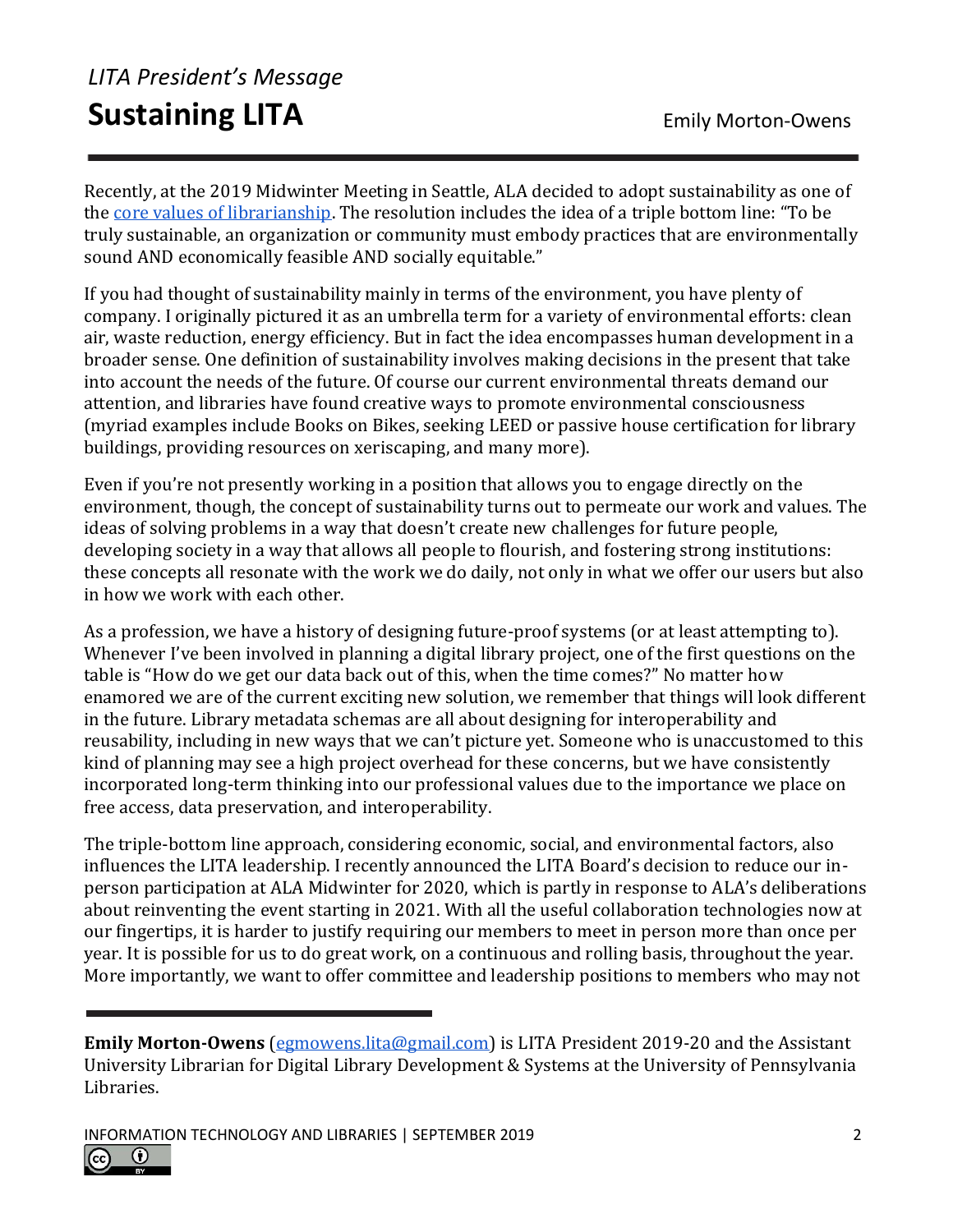## *LITA President's Message* **Sustaining LITA** Emily Morton-Owens

Recently, at the 2019 Midwinter Meeting in Seattle, ALA decided to adopt sustainability as one of the [core values of librarianship](http://www.ala.org/aboutala/sites/ala.org.aboutala/files/content/governance/council/council_documents/2019_ms_council_docs/ALA%20CD%2037%20RESOLUTION%20FOR%20THE%20ADOPTION%20OF%20SUSTAINABILITY%20AS%20A%20CORE%20VALUE%20OF%20LIBRARIANSHIP_Final1182019.pdf). The resolution includes the idea of a triple bottom line: "To be truly sustainable, an organization or community must embody practices that are environmentally sound AND economically feasible AND socially equitable."

If you had thought of sustainability mainly in terms of the environment, you have plenty of company. I originally pictured it as an umbrella term for a variety of environmental efforts: clean air, waste reduction, energy efficiency. But in fact the idea encompasses human development in a broader sense. One definition of sustainability involves making decisions in the present that take into account the needs of the future. Of course our current environmental threats demand our attention, and libraries have found creative ways to promote environmental consciousness (myriad examples include Books on Bikes, seeking LEED or passive house certification for library buildings, providing resources on xeriscaping, and many more).

Even if you're not presently working in a position that allows you to engage directly on the environment, though, the concept of sustainability turns out to permeate our work and values. The ideas of solving problems in a way that doesn't create new challenges for future people, developing society in a way that allows all people to flourish, and fostering strong institutions: these concepts all resonate with the work we do daily, not only in what we offer our users but also in how we work with each other.

As a profession, we have a history of designing future-proof systems (or at least attempting to). Whenever I've been involved in planning a digital library project, one of the first questions on the table is "How do we get our data back out of this, when the time comes?" No matter how enamored we are of the current exciting new solution, we remember that things will look different in the future. Library metadata schemas are all about designing for interoperability and reusability, including in new ways that we can't picture yet. Someone who is unaccustomed to this kind of planning may see a high project overhead for these concerns, but we have consistently incorporated long-term thinking into our professional values due to the importance we place on free access, data preservation, and interoperability.

The triple-bottom line approach, considering economic, social, and environmental factors, also influences the LITA leadership. I recently announced the LITA Board's decision to reduce our inperson participation at ALA Midwinter for 2020, which is partly in response to ALA's deliberations about reinventing the event starting in 2021. With all the useful collaboration technologies now at our fingertips, it is harder to justify requiring our members to meet in person more than once per year. It is possible for us to do great work, on a continuous and rolling basis, throughout the year. More importantly, we want to offer committee and leadership positions to members who may not



**Emily Morton-Owens** [\(egmowens.lita@gmail.com\)](mailto:egmowens.lita@gmail.com) is LITA President 2019-20 and the Assistant University Librarian for Digital Library Development & Systems at the University of Pennsylvania Libraries.